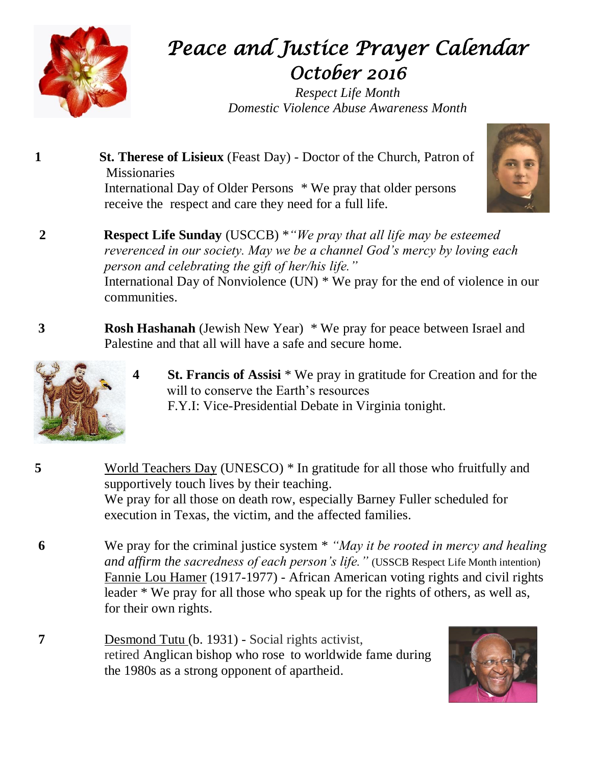

## *Peace and Justice Prayer Calendar October 2016*

*Respect Life Month Domestic Violence Abuse Awareness Month*



- **1 St. Therese of Lisieux** (Feast Day) Doctor of the Church, Patron of **Missionaries** International Day of Older Persons \* We pray that older persons receive the respect and care they need for a full life.
- **2 Respect Life Sunday** (USCCB) \**"We pray that all life may be esteemed reverenced in our society. May we be a channel God's mercy by loving each person and celebrating the gift of her/his life."* International Day of Nonviolence (UN) \* We pray for the end of violence in our communities.
- **3 Rosh Hashanah** (Jewish New Year) \* We pray for peace between Israel and Palestine and that all will have a safe and secure home.



- **4 St. Francis of Assisi** \* We pray in gratitude for Creation and for the will to conserve the Earth's resources F.Y.I: Vice-Presidential Debate in Virginia tonight.
- **5** World Teachers Day (UNESCO) \* In gratitude for all those who fruitfully and supportively touch lives by their teaching. We pray for all those on death row, especially Barney Fuller scheduled for execution in Texas, the victim, and the affected families.
- **6** We pray for the criminal justice system \* *"May it be rooted in mercy and healing and affirm the sacredness of each person's life."* (USSCB Respect Life Month intention) Fannie Lou Hamer (1917-1977) - African American voting rights and civil rights leader \* We pray for all those who speak up for the rights of others, as well as, for their own rights.
- **7** Desmond Tutu (b. 1931) Social rights activist, retired [Anglican](https://en.wikipedia.org/wiki/Anglicanism) bishop who rose to worldwide fame during the 1980s as a strong opponent of [apartheid.](https://en.wikipedia.org/wiki/Apartheid)

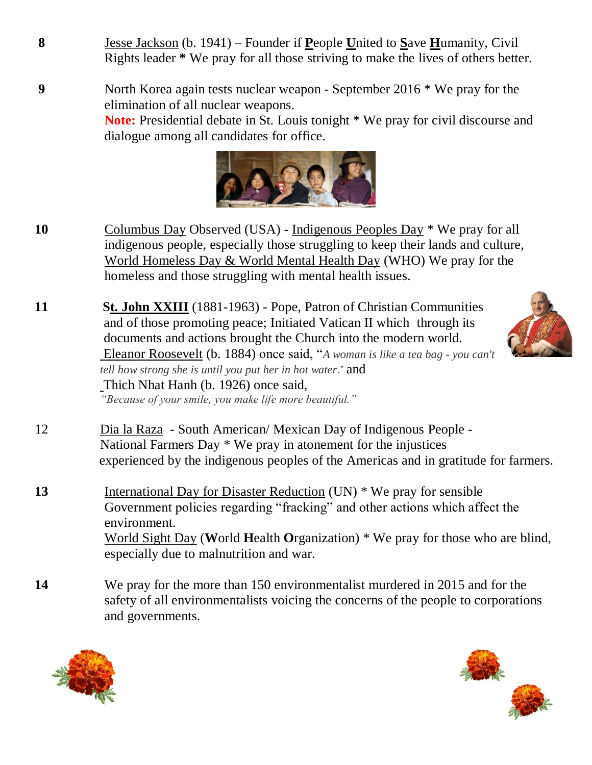**8** Jesse Jackson (b. 1941) – Founder if **P**eople **U**nited to **S**ave **H**umanity, Civil Rights leader **\*** We pray for all those striving to make the lives of others better.

**9** North Korea again tests nuclear weapon - September 2016 \* We pray for the elimination of all nuclear weapons. **Note:** Presidential debate in St. Louis tonight \* We pray for civil discourse and dialogue among all candidates for office.



**10** Columbus Day Observed (USA) - Indigenous Peoples Day \* We pray for all indigenous people, especially those struggling to keep their lands and culture, World Homeless Day & World Mental Health Day (WHO) We pray for the homeless and those struggling with mental health issues.

**11 St. John XXIII** (1881-1963) - Pope, Patron of Christian Communities and of those promoting peace; Initiated Vatican II which through its documents and actions brought the Church into the modern world. Eleanor Roosevelt (b. 1884) once said, "*A woman is like a tea bag - you can't tell how strong she is until you put her in hot water*." and Thich Nhat Hanh (b. 1926) once said, *"Because of your smile, you make life more beautiful."*

- 12 Dia la Raza South American/ Mexican Day of Indigenous People National Farmers Day \* We pray in atonement for the injustices experienced by the indigenous peoples of the Americas and in gratitude for farmers.
- 13 International Day for Disaster Reduction (UN) \* We pray for sensible Government policies regarding "fracking" and other actions which affect the environment. World Sight Day (**W**orld **H**ealth **O**rganization) \* We pray for those who are blind, especially due to malnutrition and war.
- **14** We pray for the more than 150 environmentalist murdered in 2015 and for the safety of all environmentalists voicing the concerns of the people to corporations and governments.





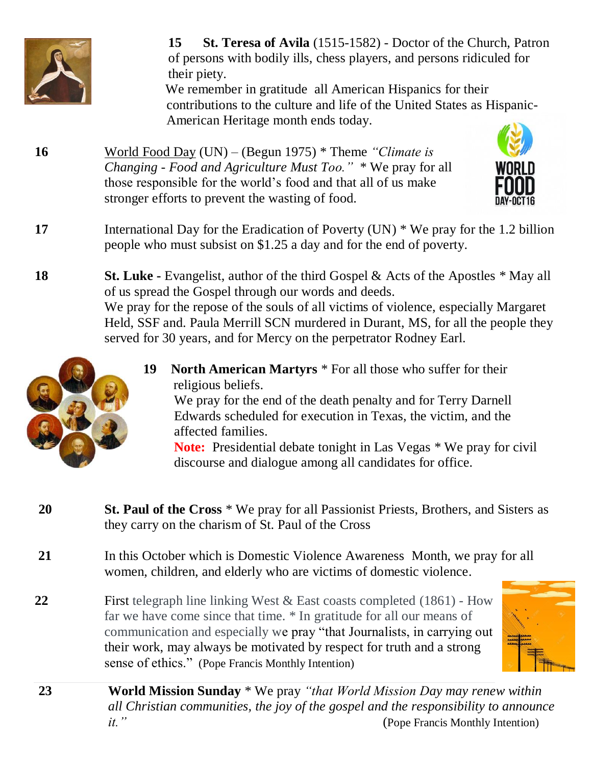

**15 St. Teresa of Avila** (1515-1582) - Doctor of the Church, Patron of persons with bodily ills, chess players, and persons ridiculed for their piety.

 We remember in gratitude all American Hispanics for their contributions to the culture and life of the United States as Hispanic- American Heritage month ends today.

**16** World Food Day (UN) – (Begun 1975) \* Theme *"Climate is Changing - Food and Agriculture Must Too."* \* We pray for all those responsible for the world's food and that all of us make stronger efforts to prevent the wasting of food.



- **17** International Day for the Eradication of Poverty (UN) \* We pray for the 1.2 billion people who must subsist on \$1.25 a day and for the end of poverty.
- **18 St. Luke -** Evangelist, author of the third Gospel & Acts of the Apostles \* May all of us spread the Gospel through our words and deeds. We pray for the repose of the souls of all victims of violence, especially Margaret Held, SSF and. Paula Merrill SCN murdered in Durant, MS, for all the people they served for 30 years, and for Mercy on the perpetrator Rodney Earl.



We pray for the end of the death penalty and for Terry Darnell Edwards scheduled for execution in Texas, the victim, and the affected families.

**Note:** Presidential debate tonight in Las Vegas \* We pray for civil discourse and dialogue among all candidates for office.

- **20 St. Paul of the Cross** \* We pray for all Passionist Priests, Brothers, and Sisters as they carry on the charism of St. Paul of the Cross
- **21** In this October which is Domestic Violence AwarenessMonth, we pray for all women, children, and elderly who are victims of domestic violence.
- **22** First telegraph line linking West & East coasts completed (1861) How far we have come since that time. \* In gratitude for all our means of communication and especially we pray "that Journalists, in carrying out their work, may always be motivated by respect for truth and a strong sense of ethics." (Pope Francis Monthly Intention)



**23 World Mission Sunday** \* We pray *"that World Mission Day may renew within all Christian communities, the joy of the gospel and the responsibility to announce it.*" (Pope Francis Monthly Intention)